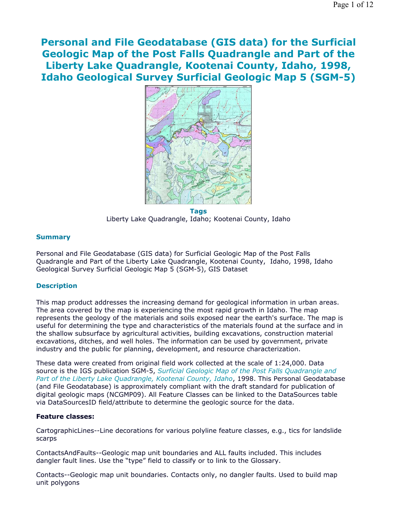**Personal and File Geodatabase (GIS data) for the Surficial Geologic Map of the Post Falls Quadrangle and Part of the Liberty Lake Quadrangle, Kootenai County, Idaho, 1998, Idaho Geological Survey Surficial Geologic Map 5 (SGM-5)**



**Tags** Liberty Lake Quadrangle, Idaho; Kootenai County, Idaho

## **Summary**

Personal and File Geodatabase (GIS data) for Surficial Geologic Map of the Post Falls Quadrangle and Part of the Liberty Lake Quadrangle, Kootenai County, Idaho, 1998, Idaho Geological Survey Surficial Geologic Map 5 (SGM-5), GIS Dataset

### **Description**

This map product addresses the increasing demand for geological information in urban areas. The area covered by the map is experiencing the most rapid growth in Idaho. The map represents the geology of the materials and soils exposed near the earth's surface. The map is useful for determining the type and characteristics of the materials found at the surface and in the shallow subsurface by agricultural activities, building excavations, construction material excavations, ditches, and well holes. The information can be used by government, private industry and the public for planning, development, and resource characterization.

These data were created from original field work collected at the scale of 1:24,000. Data source is the IGS publication SGM-5, *Surficial Geologic Map of the Post Falls Quadrangle and Part of the Liberty Lake Quadrangle, Kootenai County, Idaho*, 1998. This Personal Geodatabase (and File Geodatabase) is approximately compliant with the draft standard for publication of digital geologic maps (NCGMP09). All Feature Classes can be linked to the DataSources table via DataSourcesID field/attribute to determine the geologic source for the data.

### **Feature classes:**

CartographicLines--Line decorations for various polyline feature classes, e.g., tics for landslide scarps

ContactsAndFaults--Geologic map unit boundaries and ALL faults included. This includes dangler fault lines. Use the "type" field to classify or to link to the Glossary.

Contacts--Geologic map unit boundaries. Contacts only, no dangler faults. Used to build map unit polygons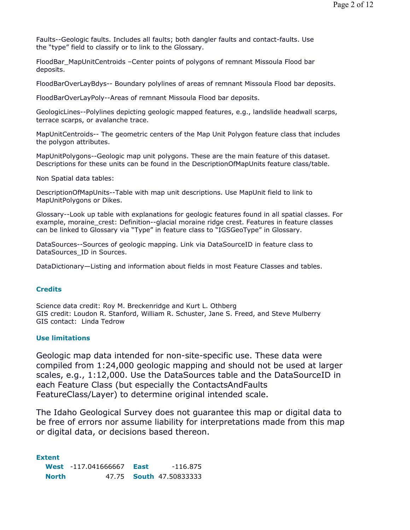Faults--Geologic faults. Includes all faults; both dangler faults and contact-faults. Use the "type" field to classify or to link to the Glossary.

FloodBar\_MapUnitCentroids –Center points of polygons of remnant Missoula Flood bar deposits.

FloodBarOverLayBdys-- Boundary polylines of areas of remnant Missoula Flood bar deposits.

FloodBarOverLayPoly--Areas of remnant Missoula Flood bar deposits.

GeologicLines--Polylines depicting geologic mapped features, e.g., landslide headwall scarps, terrace scarps, or avalanche trace.

MapUnitCentroids-- The geometric centers of the Map Unit Polygon feature class that includes the polygon attributes.

MapUnitPolygons--Geologic map unit polygons. These are the main feature of this dataset. Descriptions for these units can be found in the DescriptionOfMapUnits feature class/table.

Non Spatial data tables:

DescriptionOfMapUnits--Table with map unit descriptions. Use MapUnit field to link to MapUnitPolygons or Dikes.

Glossary--Look up table with explanations for geologic features found in all spatial classes. For example, moraine crest: Definition--glacial moraine ridge crest. Features in feature classes can be linked to Glossary via "Type" in feature class to "IGSGeoType" in Glossary.

DataSources--Sources of geologic mapping. Link via DataSourceID in feature class to DataSources\_ID in Sources.

DataDictionary—Listing and information about fields in most Feature Classes and tables.

## **Credits**

Science data credit: Roy M. Breckenridge and Kurt L. Othberg GIS credit: Loudon R. Stanford, William R. Schuster, Jane S. Freed, and Steve Mulberry GIS contact: Linda Tedrow

## **Use limitations**

Geologic map data intended for non-site-specific use. These data were compiled from 1:24,000 geologic mapping and should not be used at larger scales, e.g., 1:12,000. Use the DataSources table and the DataSourceID in each Feature Class (but especially the ContactsAndFaults FeatureClass/Layer) to determine original intended scale.

The Idaho Geological Survey does not guarantee this map or digital data to be free of errors nor assume liability for interpretations made from this map or digital data, or decisions based thereon.

**Extent**

**West** -117.041666667 **East** -116.875 **North** 47.75 **South** 47.50833333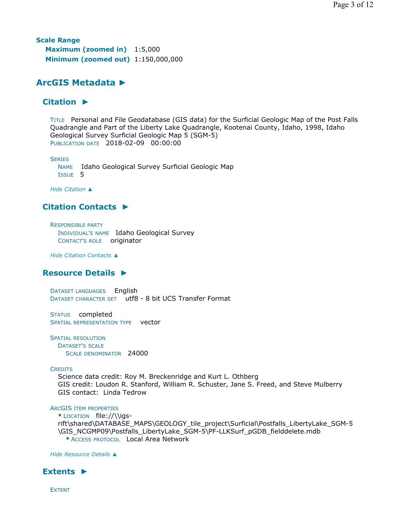**Scale Range Maximum (zoomed in)** 1:5,000 **Minimum (zoomed out)** 1:150,000,000

# **ArcGIS Metadata ►**

# **Citation ►**

TITLE Personal and File Geodatabase (GIS data) for the Surficial Geologic Map of the Post Falls Quadrangle and Part of the Liberty Lake Quadrangle, Kootenai County, Idaho, 1998, Idaho Geological Survey Surficial Geologic Map 5 (SGM-5) PUBLICATION DATE 2018-02-09 00:00:00

**SERIES** 

NAME Idaho Geological Survey Surficial Geologic Map ISSUE 5

*Hide Citation ▲*

# **Citation Contacts ►**

RESPONSIBLE PARTY INDIVIDUAL'S NAME Idaho Geological Survey CONTACT'S ROLE originator

*Hide Citation Contacts ▲*

# **Resource Details ►**

DATASET LANGUAGES English DATASET CHARACTER SET utf8 - 8 bit UCS Transfer Format

STATUS completed SPATIAL REPRESENTATION TYPE vector

SPATIAL RESOLUTION DATASET'S SCALE SCALE DENOMINATOR 24000

# **CREDITS**

Science data credit: Roy M. Breckenridge and Kurt L. Othberg GIS credit: Loudon R. Stanford, William R. Schuster, Jane S. Freed, and Steve Mulberry GIS contact: Linda Tedrow

# ARCGIS ITEM PROPERTIES

**\*** LOCATION file://\\igs-

rift\shared\DATABASE\_MAPS\GEOLOGY\_tile\_project\Surficial\Postfalls\_LibertyLake\_SGM-5 \GIS\_NCGMP09\Postfalls\_LibertyLake\_SGM-5\PF-LLKSurf\_pGDB\_fielddelete.mdb **\*** ACCESS PROTOCOL Local Area Network

*Hide Resource Details ▲*

# **Extents ►**

EXTENT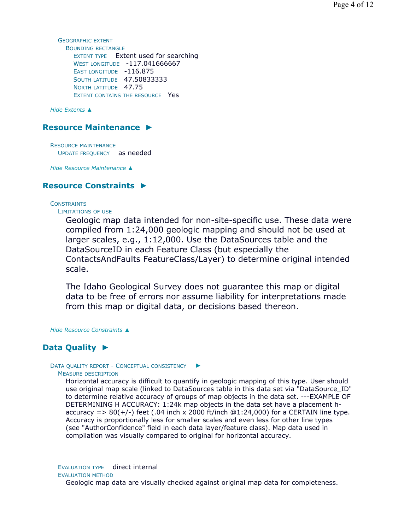GEOGRAPHIC EXTENT BOUNDING RECTANGLE EXTENT TYPE Extent used for searching WEST LONGITUDE -117.041666667 EAST LONGITUDE -116.875 **SOUTH LATITUDE 47.50833333** NORTH LATITUDE 47.75 EXTENT CONTAINS THE RESOURCE Yes

*Hide Extents ▲*

# **Resource Maintenance ►**

RESOURCE MAINTENANCE UPDATE FREQUENCY as needed

*Hide Resource Maintenance ▲*

# **Resource Constraints ►**

**CONSTRAINTS** 

LIMITATIONS OF USE

Geologic map data intended for non-site-specific use. These data were compiled from 1:24,000 geologic mapping and should not be used at larger scales, e.g., 1:12,000. Use the DataSources table and the DataSourceID in each Feature Class (but especially the ContactsAndFaults FeatureClass/Layer) to determine original intended scale.

The Idaho Geological Survey does not guarantee this map or digital data to be free of errors nor assume liability for interpretations made from this map or digital data, or decisions based thereon.

*Hide Resource Constraints ▲*

# **Data Quality ►**

#### DATA QUALITY REPORT - CONCEPTUAL CONSISTENCY ▶

MEASURE DESCRIPTION

Horizontal accuracy is difficult to quantify in geologic mapping of this type. User should use original map scale (linked to DataSources table in this data set via "DataSource\_ID" to determine relative accuracy of groups of map objects in the data set. ---EXAMPLE OF DETERMINING H ACCURACY: 1:24k map objects in the data set have a placement haccuracy =>  $80(+/-)$  feet (.04 inch x 2000 ft/inch  $@1:24,000$ ) for a CERTAIN line type. Accuracy is proportionally less for smaller scales and even less for other line types (see "AuthorConfidence" field in each data layer/feature class). Map data used in compilation was visually compared to original for horizontal accuracy.

EVALUATION TYPE direct internal

#### EVALUATION METHOD

Geologic map data are visually checked against original map data for completeness.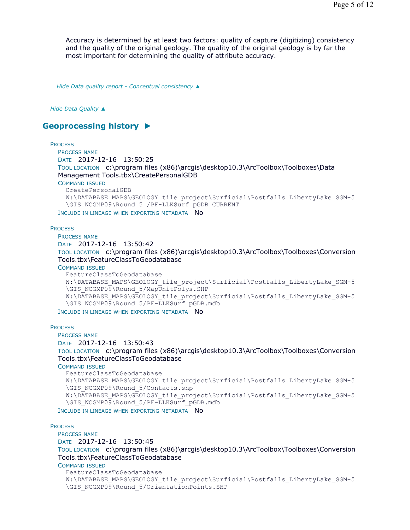Accuracy is determined by at least two factors: quality of capture (digitizing) consistency and the quality of the original geology. The quality of the original geology is by far the most important for determining the quality of attribute accuracy.

*Hide Data quality report - Conceptual consistency ▲*

*Hide Data Quality ▲*

# **Geoprocessing history ►**

### **PROCESS**

PROCESS NAME DATE 2017-12-16 13:50:25 TOOL LOCATION c:\program files (x86)\arcgis\desktop10.3\ArcToolbox\Toolboxes\Data Management Tools.tbx\CreatePersonalGDB COMMAND ISSUED CreatePersonalGDB W:\DATABASE\_MAPS\GEOLOGY\_tile\_project\Surficial\Postfalls\_LibertyLake\_SGM-5 \GIS\_NCGMP09\Round\_5 /PF-LLKSurf\_pGDB CURRENT

INCLUDE IN LINEAGE WHEN EXPORTING METADATA NO

## **PROCESS**

PROCESS NAME DATE 2017-12-16 13:50:42 TOOL LOCATION c:\program files (x86)\arcgis\desktop10.3\ArcToolbox\Toolboxes\Conversion Tools.tbx\FeatureClassToGeodatabase COMMAND ISSUED

```
FeatureClassToGeodatabase 
W:\DATABASE_MAPS\GEOLOGY_tile_project\Surficial\Postfalls_LibertyLake_SGM-5
\GIS_NCGMP09\Round_5/MapUnitPolys.SHP 
W:\DATABASE_MAPS\GEOLOGY_tile_project\Surficial\Postfalls_LibertyLake_SGM-5
\GIS_NCGMP09\Round_5/PF-LLKSurf_pGDB.mdb
```
INCLUDE IN LINEAGE WHEN EXPORTING METADATA NO

## **PROCESS**

PROCESS NAME

DATE 2017-12-16 13:50:43

TOOL LOCATION c:\program files (x86)\arcgis\desktop10.3\ArcToolbox\Toolboxes\Conversion Tools.tbx\FeatureClassToGeodatabase

COMMAND ISSUED

```
FeatureClassToGeodatabase 
W:\DATABASE_MAPS\GEOLOGY_tile_project\Surficial\Postfalls_LibertyLake_SGM-5
\GIS_NCGMP09\Round_5/Contacts.shp
W:\DATABASE_MAPS\GEOLOGY_tile_project\Surficial\Postfalls_LibertyLake_SGM-5
\GIS_NCGMP09\Round_5/PF-LLKSurf_pGDB.mdb
```
INCLUDE IN LINEAGE WHEN EXPORTING METADATA NO

## **PROCESS**

PROCESS NAME

DATE 2017-12-16 13:50:45

```
TOOL LOCATION c:\program files (x86)\arcgis\desktop10.3\ArcToolbox\Toolboxes\Conversion 
Tools.tbx\FeatureClassToGeodatabase
```
COMMAND ISSUED

```
FeatureClassToGeodatabase 
W:\DATABASE_MAPS\GEOLOGY_tile_project\Surficial\Postfalls_LibertyLake_SGM-5
\GIS_NCGMP09\Round_5/OrientationPoints.SHP
```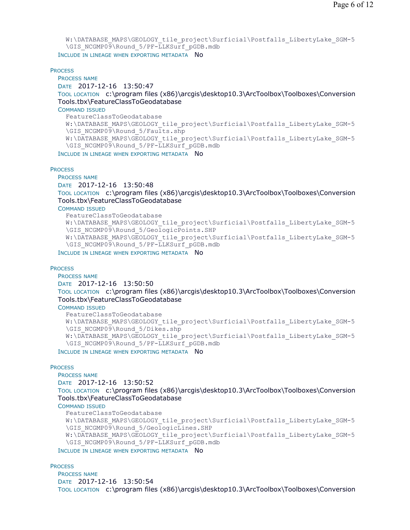```
W:\DATABASE_MAPS\GEOLOGY_tile_project\Surficial\Postfalls_LibertyLake_SGM-5
  \GIS_NCGMP09\Round_5/PF-LLKSurf_pGDB.mdb
INCLUDE IN LINEAGE WHEN EXPORTING METADATA NO
```
**PROCESS** 

PROCESS NAME DATE 2017-12-16 13:50:47 TOOL LOCATION c:\program files (x86)\arcgis\desktop10.3\ArcToolbox\Toolboxes\Conversion Tools.tbx\FeatureClassToGeodatabase COMMAND ISSUED FeatureClassToGeodatabase W:\DATABASE\_MAPS\GEOLOGY\_tile\_project\Surficial\Postfalls\_LibertyLake\_SGM-5 \GIS\_NCGMP09\Round\_5/Faults.shp W:\DATABASE\_MAPS\GEOLOGY\_tile\_project\Surficial\Postfalls\_LibertyLake\_SGM-5 \GIS\_NCGMP09\Round\_5/PF-LLKSurf\_pGDB.mdb

INCLUDE IN LINEAGE WHEN EXPORTING METADATA NO

**PROCESS** 

PROCESS NAME

DATE 2017-12-16 13:50:48

TOOL LOCATION c:\program files (x86)\arcgis\desktop10.3\ArcToolbox\Toolboxes\Conversion Tools.tbx\FeatureClassToGeodatabase

COMMAND ISSUED

```
FeatureClassToGeodatabase 
W:\DATABASE_MAPS\GEOLOGY_tile_project\Surficial\Postfalls_LibertyLake_SGM-5
\GIS_NCGMP09\Round_5/GeologicPoints.SHP 
W:\DATABASE_MAPS\GEOLOGY_tile_project\Surficial\Postfalls_LibertyLake_SGM-5
\GIS_NCGMP09\Round_5/PF-LLKSurf_pGDB.mdb
```
INCLUDE IN LINEAGE WHEN EXPORTING METADATA NO

#### **PROCESS**

PROCESS NAME DATE 2017-12-16 13:50:50 TOOL LOCATION c:\program files (x86)\arcgis\desktop10.3\ArcToolbox\Toolboxes\Conversion Tools.tbx\FeatureClassToGeodatabase

COMMAND ISSUED

```
FeatureClassToGeodatabase 
W:\DATABASE_MAPS\GEOLOGY_tile_project\Surficial\Postfalls_LibertyLake_SGM-5
\GIS_NCGMP09\Round_5/Dikes.shp
W:\DATABASE_MAPS\GEOLOGY_tile_project\Surficial\Postfalls_LibertyLake_SGM-5
\GIS_NCGMP09\Round_5/PF-LLKSurf_pGDB.mdb
```
INCLUDE IN LINEAGE WHEN EXPORTING METADATA NO

#### **PROCESS**

PROCESS NAME

```
DATE 2017-12-16 13:50:52
```
TOOL LOCATION c:\program files (x86)\arcgis\desktop10.3\ArcToolbox\Toolboxes\Conversion Tools.tbx\FeatureClassToGeodatabase

#### COMMAND ISSUED

```
FeatureClassToGeodatabase 
W:\DATABASE_MAPS\GEOLOGY_tile_project\Surficial\Postfalls_LibertyLake_SGM-5
\GIS_NCGMP09\Round_5/GeologicLines.SHP
W:\DATABASE_MAPS\GEOLOGY_tile_project\Surficial\Postfalls_LibertyLake_SGM-5
\GIS_NCGMP09\Round_5/PF-LLKSurf_pGDB.mdb
```
INCLUDE IN LINEAGE WHEN EXPORTING METADATA NO

**PROCESS** 

PROCESS NAME DATE 2017-12-16 13:50:54 TOOL LOCATION c:\program files (x86)\arcgis\desktop10.3\ArcToolbox\Toolboxes\Conversion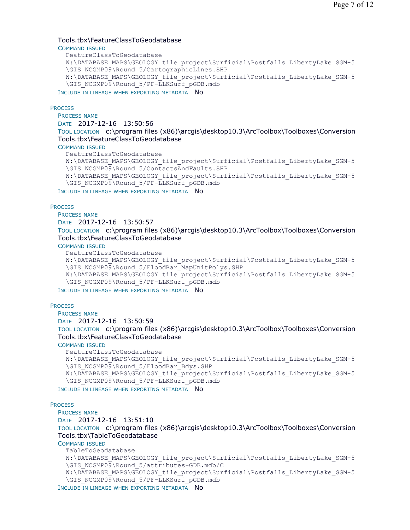# Tools.tbx\FeatureClassToGeodatabase

COMMAND ISSUED

```
FeatureClassToGeodatabase 
  W:\DATABASE_MAPS\GEOLOGY_tile_project\Surficial\Postfalls_LibertyLake_SGM-5
  \GIS_NCGMP09\Round_5/CartographicLines.SHP
  W:\DATABASE_MAPS\GEOLOGY_tile_project\Surficial\Postfalls_LibertyLake_SGM-5
  \GIS_NCGMP09\Round_5/PF-LLKSurf_pGDB.mdb
INCLUDE IN LINEAGE WHEN EXPORTING METADATA NO
```
#### **PROCESS**

PROCESS NAME

```
DATE 2017-12-16 13:50:56
```
TOOL LOCATION c:\program files (x86)\arcgis\desktop10.3\ArcToolbox\Toolboxes\Conversion Tools.tbx\FeatureClassToGeodatabase

#### COMMAND ISSUED

```
FeatureClassToGeodatabase 
W:\DATABASE_MAPS\GEOLOGY_tile_project\Surficial\Postfalls_LibertyLake_SGM-5
\GIS_NCGMP09\Round_5/ContactsAndFaults.SHP 
W:\DATABASE_MAPS\GEOLOGY_tile_project\Surficial\Postfalls_LibertyLake_SGM-5
\GIS_NCGMP09\Round_5/PF-LLKSurf_pGDB.mdb
```
INCLUDE IN LINEAGE WHEN EXPORTING METADATA NO

**PROCESS** 

PROCESS NAME

## DATE 2017-12-16 13:50:57

TOOL LOCATION c:\program files (x86)\arcgis\desktop10.3\ArcToolbox\Toolboxes\Conversion Tools.tbx\FeatureClassToGeodatabase

COMMAND ISSUED

```
FeatureClassToGeodatabase
```

```
W:\DATABASE_MAPS\GEOLOGY_tile_project\Surficial\Postfalls_LibertyLake_SGM-5
\GIS_NCGMP09\Round_5/FloodBar_MapUnitPolys.SHP 
W:\DATABASE_MAPS\GEOLOGY_tile_project\Surficial\Postfalls_LibertyLake_SGM-5
\GIS_NCGMP09\Round_5/PF-LLKSurf_pGDB.mdb
```
INCLUDE IN LINEAGE WHEN EXPORTING METADATA NO

#### **PROCESS**

PROCESS NAME DATE 2017-12-16 13:50:59 TOOL LOCATION c:\program files (x86)\arcgis\desktop10.3\ArcToolbox\Toolboxes\Conversion Tools.tbx\FeatureClassToGeodatabase

## COMMAND ISSUED

```
FeatureClassToGeodatabase 
  W:\DATABASE_MAPS\GEOLOGY_tile_project\Surficial\Postfalls_LibertyLake_SGM-5
  \GIS_NCGMP09\Round_5/FloodBar_Bdys.SHP
  W:\DATABASE_MAPS\GEOLOGY_tile_project\Surficial\Postfalls_LibertyLake_SGM-5
  \GIS_NCGMP09\Round_5/PF-LLKSurf_pGDB.mdb
INCLUDE IN LINEAGE WHEN EXPORTING METADATA NO
```
#### **PROCESS**

PROCESS NAME DATE 2017-12-16 13:51:10 TOOL LOCATION c:\program files (x86)\arcgis\desktop10.3\ArcToolbox\Toolboxes\Conversion Tools.tbx\TableToGeodatabase COMMAND ISSUED TableToGeodatabase W:\DATABASE\_MAPS\GEOLOGY\_tile\_project\Surficial\Postfalls\_LibertyLake\_SGM-5 \GIS\_NCGMP09\Round\_5/attributes-GDB.mdb/C W:\DATABASE\_MAPS\GEOLOGY\_tile\_project\Surficial\Postfalls\_LibertyLake\_SGM-5 \GIS\_NCGMP09\Round\_5/PF-LLKSurf\_pGDB.mdb

INCLUDE IN LINEAGE WHEN EXPORTING METADATA NO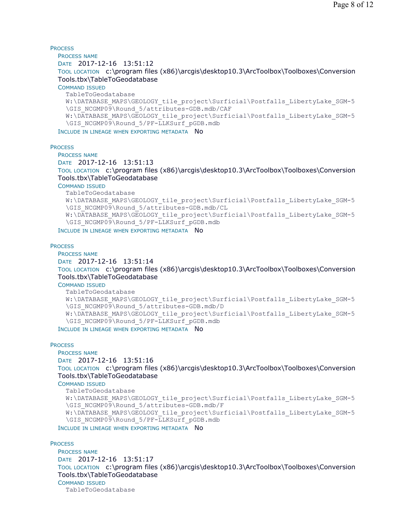**PROCESS** PROCESS NAME DATE 2017-12-16 13:51:12 TOOL LOCATION c:\program files (x86)\arcgis\desktop10.3\ArcToolbox\Toolboxes\Conversion Tools.tbx\TableToGeodatabase COMMAND ISSUED TableToGeodatabase W:\DATABASE\_MAPS\GEOLOGY\_tile\_project\Surficial\Postfalls\_LibertyLake\_SGM-5 \GIS\_NCGMP09\Round\_5/attributes-GDB.mdb/CAF W:\DATABASE\_MAPS\GEOLOGY\_tile\_project\Surficial\Postfalls\_LibertyLake\_SGM-5 \GIS\_NCGMP09\Round\_5/PF-LLKSurf\_pGDB.mdb INCLUDE IN LINEAGE WHEN EXPORTING METADATA NO

**PROCESS** 

PROCESS NAME DATE 2017-12-16 13:51:13 TOOL LOCATION c:\program files (x86)\arcgis\desktop10.3\ArcToolbox\Toolboxes\Conversion Tools.tbx\TableToGeodatabase COMMAND ISSUED TableToGeodatabase W:\DATABASE\_MAPS\GEOLOGY\_tile\_project\Surficial\Postfalls\_LibertyLake\_SGM-5 \GIS\_NCGMP09\Round\_5/attributes-GDB.mdb/CL W:\DATABASE\_MAPS\GEOLOGY\_tile\_project\Surficial\Postfalls\_LibertyLake\_SGM-5 \GIS\_NCGMP09\Round\_5/PF-LLKSurf\_pGDB.mdb INCLUDE IN LINEAGE WHEN EXPORTING METADATA NO

**PROCESS** 

```
PROCESS NAME
DATE 2017-12-16 13:51:14 
TOOL LOCATION c:\program files (x86)\arcgis\desktop10.3\ArcToolbox\Toolboxes\Conversion 
Tools.tbx\TableToGeodatabase 
COMMAND ISSUED
  TableToGeodatabase 
  W:\DATABASE_MAPS\GEOLOGY_tile_project\Surficial\Postfalls_LibertyLake_SGM-5
  \GIS_NCGMP09\Round_5/attributes-GDB.mdb/D
```

```
W:\DATABASE_MAPS\GEOLOGY_tile_project\Surficial\Postfalls_LibertyLake_SGM-5
\GIS_NCGMP09\Round_5/PF-LLKSurf_pGDB.mdb
```
INCLUDE IN LINEAGE WHEN EXPORTING METADATA NO

#### **PROCESS**

```
PROCESS NAME
DATE 2017-12-16 13:51:16 
TOOL LOCATION c:\program files (x86)\arcgis\desktop10.3\ArcToolbox\Toolboxes\Conversion 
Tools.tbx\TableToGeodatabase 
COMMAND ISSUED
  TableToGeodatabase 
  W:\DATABASE_MAPS\GEOLOGY_tile_project\Surficial\Postfalls_LibertyLake_SGM-5
  \GIS_NCGMP09\Round_5/attributes-GDB.mdb/F 
  W:\DATABASE_MAPS\GEOLOGY_tile_project\Surficial\Postfalls_LibertyLake_SGM-5
  \GIS_NCGMP09\Round_5/PF-LLKSurf_pGDB.mdb
```
INCLUDE IN LINEAGE WHEN EXPORTING METADATA NO

## **PROCESS**

```
PROCESS NAME
DATE 2017-12-16 13:51:17 
TOOL LOCATION c:\program files (x86)\arcgis\desktop10.3\ArcToolbox\Toolboxes\Conversion 
Tools.tbx\TableToGeodatabase 
COMMAND ISSUED
  TableToGeodatabase
```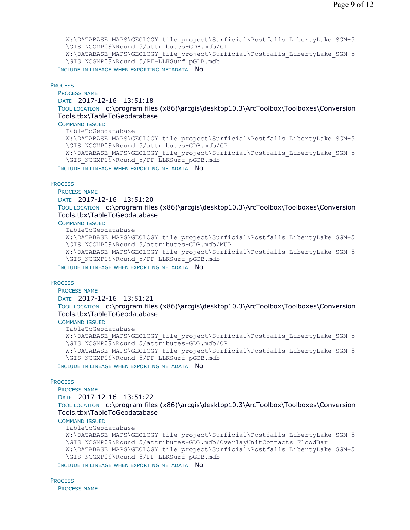W:\DATABASE\_MAPS\GEOLOGY\_tile\_project\Surficial\Postfalls\_LibertyLake\_SGM-5 \GIS\_NCGMP09\Round\_5/attributes-GDB.mdb/GL W:\DATABASE\_MAPS\GEOLOGY\_tile\_project\Surficial\Postfalls\_LibertyLake\_SGM-5 \GIS\_NCGMP09\Round\_5/PF-LLKSurf\_pGDB.mdb

INCLUDE IN LINEAGE WHEN EXPORTING METADATA NO

## **PROCESS**

PROCESS NAME

DATE 2017-12-16 13:51:18

TOOL LOCATION c:\program files (x86)\arcgis\desktop10.3\ArcToolbox\Toolboxes\Conversion Tools.tbx\TableToGeodatabase

COMMAND ISSUED

TableToGeodatabase W:\DATABASE\_MAPS\GEOLOGY\_tile\_project\Surficial\Postfalls\_LibertyLake\_SGM-5 \GIS\_NCGMP09\Round\_5/attributes-GDB.mdb/GP W:\DATABASE\_MAPS\GEOLOGY\_tile\_project\Surficial\Postfalls\_LibertyLake\_SGM-5 \GIS\_NCGMP09\Round\_5/PF-LLKSurf\_pGDB.mdb INCLUDE IN LINEAGE WHEN EXPORTING METADATA NO

#### **PROCESS**

PROCESS NAME

DATE 2017-12-16 13:51:20 TOOL LOCATION c:\program files (x86)\arcgis\desktop10.3\ArcToolbox\Toolboxes\Conversion Tools.tbx\TableToGeodatabase

## COMMAND ISSUED

TableToGeodatabase

```
W:\DATABASE_MAPS\GEOLOGY_tile_project\Surficial\Postfalls_LibertyLake_SGM-5
\GIS_NCGMP09\Round_5/attributes-GDB.mdb/MUP 
W:\DATABASE_MAPS\GEOLOGY_tile_project\Surficial\Postfalls_LibertyLake_SGM-5
\GIS_NCGMP09\Round_5/PF-LLKSurf_pGDB.mdb
```
INCLUDE IN LINEAGE WHEN EXPORTING METADATA NO

#### **PROCESS**

PROCESS NAME

DATE 2017-12-16 13:51:21

TOOL LOCATION c:\program files (x86)\arcgis\desktop10.3\ArcToolbox\Toolboxes\Conversion Tools.tbx\TableToGeodatabase

## COMMAND ISSUED

TableToGeodatabase W:\DATABASE\_MAPS\GEOLOGY\_tile\_project\Surficial\Postfalls\_LibertyLake\_SGM-5 \GIS\_NCGMP09\Round\_5/attributes-GDB.mdb/OP W:\DATABASE\_MAPS\GEOLOGY\_tile\_project\Surficial\Postfalls\_LibertyLake\_SGM-5 \GIS\_NCGMP09\Round\_5/PF-LLKSurf\_pGDB.mdb

INCLUDE IN LINEAGE WHEN EXPORTING METADATA NO

#### **PROCESS**

PROCESS NAME DATE 2017-12-16 13:51:22 TOOL LOCATION c:\program files (x86)\arcgis\desktop10.3\ArcToolbox\Toolboxes\Conversion Tools.tbx\TableToGeodatabase

#### COMMAND ISSUED

TableToGeodatabase

```
W:\DATABASE_MAPS\GEOLOGY_tile_project\Surficial\Postfalls_LibertyLake_SGM-5
\GIS_NCGMP09\Round_5/attributes-GDB.mdb/OverlayUnitContacts_FloodBar
W:\DATABASE_MAPS\GEOLOGY_tile_project\Surficial\Postfalls_LibertyLake_SGM-5
\GIS_NCGMP09\Round_5/PF-LLKSurf_pGDB.mdb
```
INCLUDE IN LINEAGE WHEN EXPORTING METADATA NO

**PROCESS** PROCESS NAME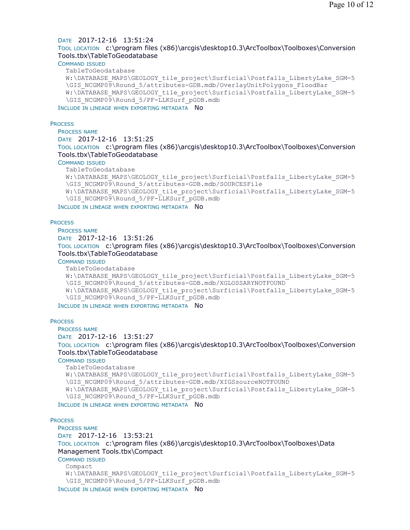## DATE 2017-12-16 13:51:24

TOOL LOCATION c:\program files (x86)\arcgis\desktop10.3\ArcToolbox\Toolboxes\Conversion Tools.tbx\TableToGeodatabase

# COMMAND ISSUED

```
TableToGeodatabase 
W:\DATABASE_MAPS\GEOLOGY_tile_project\Surficial\Postfalls_LibertyLake_SGM-5
\GIS_NCGMP09\Round_5/attributes-GDB.mdb/OverlayUnitPolygons_FloodBar 
W:\DATABASE_MAPS\GEOLOGY_tile_project\Surficial\Postfalls_LibertyLake_SGM-5
\GIS_NCGMP09\Round_5/PF-LLKSurf_pGDB.mdb
```
INCLUDE IN LINEAGE WHEN EXPORTING METADATA NO

#### **PROCESS**

#### PROCESS NAME

```
DATE 2017-12-16 13:51:25
```
TOOL LOCATION c:\program files (x86)\arcgis\desktop10.3\ArcToolbox\Toolboxes\Conversion Tools.tbx\TableToGeodatabase

#### COMMAND ISSUED

```
TableToGeodatabase
```

```
W:\DATABASE_MAPS\GEOLOGY_tile_project\Surficial\Postfalls_LibertyLake_SGM-5
\GIS_NCGMP09\Round_5/attributes-GDB.mdb/SOURCESFile 
W:\DATABASE_MAPS\GEOLOGY_tile_project\Surficial\Postfalls_LibertyLake_SGM-5
\GIS_NCGMP09\Round_5/PF-LLKSurf_pGDB.mdb
```
INCLUDE IN LINEAGE WHEN EXPORTING METADATA NO

#### **PROCESS**

PROCESS NAME DATE 2017-12-16 13:51:26 TOOL LOCATION c:\program files (x86)\arcgis\desktop10.3\ArcToolbox\Toolboxes\Conversion Tools.tbx\TableToGeodatabase COMMAND ISSUED

```
TableToGeodatabase 
W:\DATABASE_MAPS\GEOLOGY_tile_project\Surficial\Postfalls_LibertyLake_SGM-5
\GIS_NCGMP09\Round_5/attributes-GDB.mdb/XGLOSSARYNOTFOUND 
W:\DATABASE_MAPS\GEOLOGY_tile_project\Surficial\Postfalls_LibertyLake_SGM-5
\GIS_NCGMP09\Round_5/PF-LLKSurf_pGDB.mdb
```
INCLUDE IN LINEAGE WHEN EXPORTING METADATA NO

#### **PROCESS**

PROCESS NAME

```
DATE 2017-12-16 13:51:27
```
TOOL LOCATION c:\program files (x86)\arcgis\desktop10.3\ArcToolbox\Toolboxes\Conversion Tools.tbx\TableToGeodatabase

COMMAND ISSUED

```
TableToGeodatabase 
  W:\DATABASE_MAPS\GEOLOGY_tile_project\Surficial\Postfalls_LibertyLake_SGM-5
  \GIS_NCGMP09\Round_5/attributes-GDB.mdb/XIGSsourceNOTFOUND 
  W:\DATABASE_MAPS\GEOLOGY_tile_project\Surficial\Postfalls_LibertyLake_SGM-5
  \GIS_NCGMP09\Round_5/PF-LLKSurf_pGDB.mdb
INCLUDE IN LINEAGE WHEN EXPORTING METADATA NO
```
# **PROCESS**

# PROCESS NAME

```
DATE 2017-12-16 13:53:21 
TOOL LOCATION c:\program files (x86)\arcgis\desktop10.3\ArcToolbox\Toolboxes\Data 
Management Tools.tbx\Compact 
COMMAND ISSUED
  Compact 
  W:\DATABASE_MAPS\GEOLOGY_tile_project\Surficial\Postfalls_LibertyLake_SGM-5
  \GIS_NCGMP09\Round_5/PF-LLKSurf_pGDB.mdb
INCLUDE IN LINEAGE WHEN EXPORTING METADATA NO
```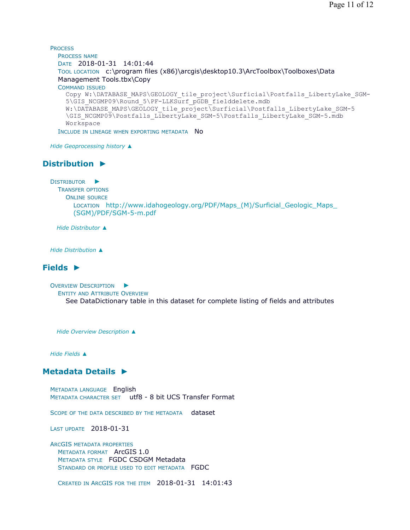```
PROCESS
  PROCESS NAME
  DATE 2018-01-31 14:01:44 
  TOOL LOCATION c:\program files (x86)\arcgis\desktop10.3\ArcToolbox\Toolboxes\Data 
  Management Tools.tbx\Copy 
  COMMAND ISSUED
    Copy W:\DATABASE_MAPS\GEOLOGY_tile_project\Surficial\Postfalls_LibertyLake_SGM-
    5\GIS_NCGMP09\Round_5\PF-LLKSurf_pGDB_fielddelete.mdb 
    W:\DATABASE_MAPS\GEOLOGY_tile_project\Surficial\Postfalls_LibertyLake_SGM-5
    \GIS_NCGMP09\Postfalls_LibertyLake_SGM-5\Postfalls_LibertyLake_SGM-5.mdb
    Workspace
  INCLUDE IN LINEAGE WHEN EXPORTING METADATA NO
```
*Hide Geoprocessing history ▲*

# **Distribution ►**

```
DISTRIBUTOR
►
```

```
TRANSFER OPTIONS
  ONLINE SOURCE
```
LOCATION http://www.idahogeology.org/PDF/Maps\_(M)/Surficial\_Geologic\_Maps\_ (SGM)/PDF/SGM-5-m.pdf

*Hide Distributor ▲*

*Hide Distribution ▲*

# **Fields ►**

OVERVIEW DESCRIPTION ►

```
ENTITY AND ATTRIBUTE OVERVIEW
  See DataDictionary table in this dataset for complete listing of fields and attributes
```
*Hide Overview Description ▲*

*Hide Fields ▲*

# **Metadata Details ►**

METADATA LANGUAGE English METADATA CHARACTER SET utf8 - 8 bit UCS Transfer Format

SCOPE OF THE DATA DESCRIBED BY THE METADATA dataset

LAST UPDATE 2018-01-31

ARCGIS METADATA PROPERTIES METADATA FORMAT ArcGIS 1.0 METADATA STYLE FGDC CSDGM Metadata STANDARD OR PROFILE USED TO EDIT METADATA FGDC

CREATED IN ARCGIS FOR THE ITEM 2018-01-31 14:01:43